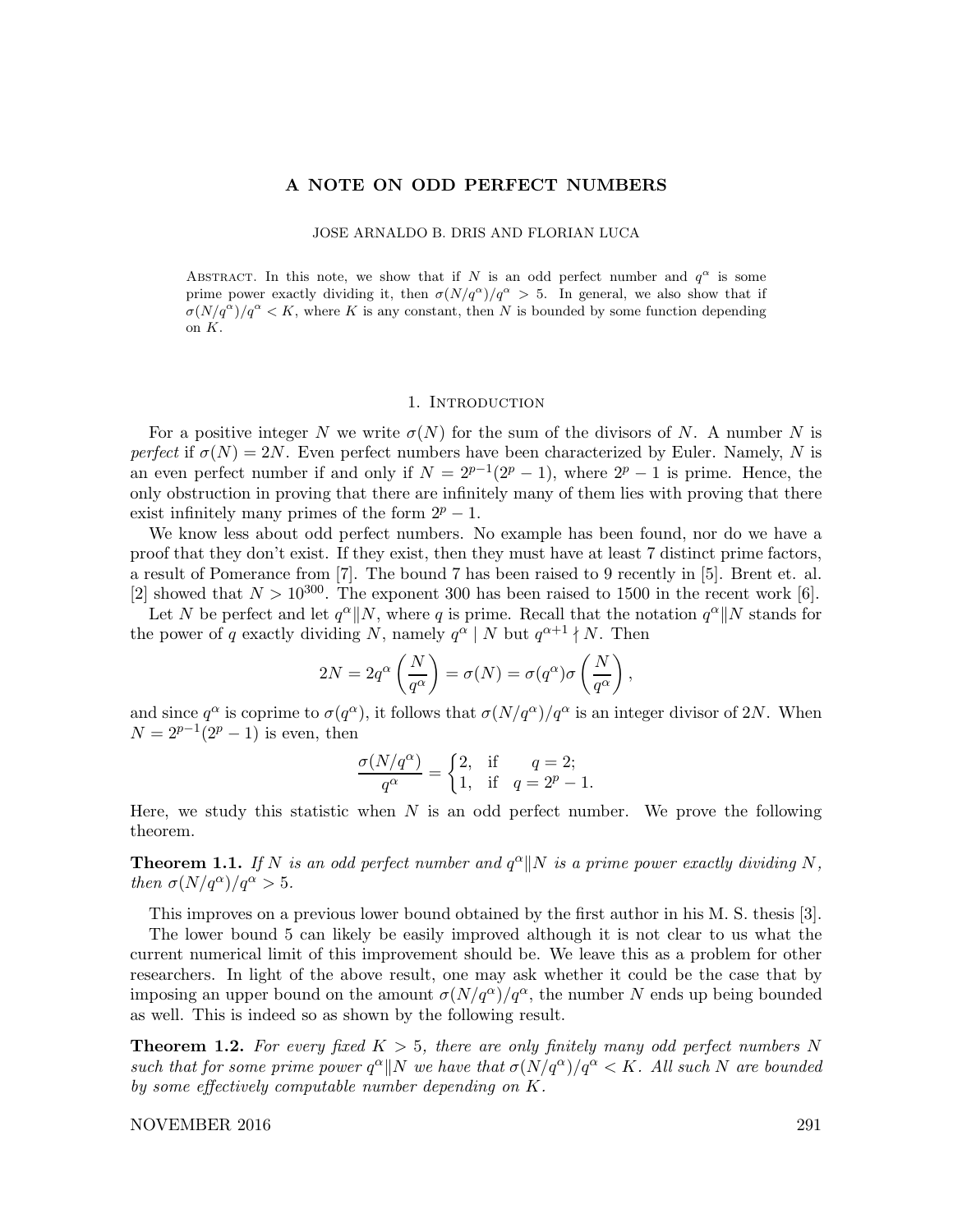#### A NOTE ON ODD PERFECT NUMBERS

JOSE ARNALDO B. DRIS AND FLORIAN LUCA

ABSTRACT. In this note, we show that if N is an odd perfect number and  $q^{\alpha}$  is some prime power exactly dividing it, then  $\sigma(N/q^{\alpha})/q^{\alpha} > 5$ . In general, we also show that if  $\sigma(N/q^{\alpha})/q^{\alpha} < K$ , where K is any constant, then N is bounded by some function depending on K.

# 1. INTRODUCTION

For a positive integer N we write  $\sigma(N)$  for the sum of the divisors of N. A number N is perfect if  $\sigma(N) = 2N$ . Even perfect numbers have been characterized by Euler. Namely, N is an even perfect number if and only if  $N = 2^{p-1}(2^p - 1)$ , where  $2^p - 1$  is prime. Hence, the only obstruction in proving that there are infinitely many of them lies with proving that there exist infinitely many primes of the form  $2^p - 1$ .

We know less about odd perfect numbers. No example has been found, nor do we have a proof that they don't exist. If they exist, then they must have at least 7 distinct prime factors, a result of Pomerance from [7]. The bound 7 has been raised to 9 recently in [5]. Brent et. al. [2] showed that  $N > 10^{300}$ . The exponent 300 has been raised to 1500 in the recent work [6].

Let N be perfect and let  $q^{\alpha}||N$ , where q is prime. Recall that the notation  $q^{\alpha}||N$  stands for the power of q exactly dividing N, namely  $q^{\alpha} \mid N$  but  $q^{\alpha+1} \nmid N$ . Then

$$
2N = 2q^{\alpha} \left(\frac{N}{q^{\alpha}}\right) = \sigma(N) = \sigma(q^{\alpha})\sigma\left(\frac{N}{q^{\alpha}}\right),
$$

and since  $q^{\alpha}$  is coprime to  $\sigma(q^{\alpha})$ , it follows that  $\sigma(N/q^{\alpha})/q^{\alpha}$  is an integer divisor of 2N. When  $N = 2^{p-1}(2^p - 1)$  is even, then

$$
\frac{\sigma(N/q^{\alpha})}{q^{\alpha}} = \begin{cases} 2, & \text{if } q = 2; \\ 1, & \text{if } q = 2^p - 1. \end{cases}
$$

Here, we study this statistic when  $N$  is an odd perfect number. We prove the following theorem.

**Theorem 1.1.** If N is an odd perfect number and  $q^{\alpha}$ ||N is a prime power exactly dividing N, then  $\sigma(N/q^{\alpha})/q^{\alpha} > 5$ .

This improves on a previous lower bound obtained by the first author in his M. S. thesis [3].

The lower bound 5 can likely be easily improved although it is not clear to us what the current numerical limit of this improvement should be. We leave this as a problem for other researchers. In light of the above result, one may ask whether it could be the case that by imposing an upper bound on the amount  $\sigma(N/q^{\alpha})/q^{\alpha}$ , the number N ends up being bounded as well. This is indeed so as shown by the following result.

**Theorem 1.2.** For every fixed  $K > 5$ , there are only finitely many odd perfect numbers N such that for some prime power  $q^{\alpha}||N$  we have that  $\sigma(N/q^{\alpha})/q^{\alpha} < K$ . All such N are bounded by some effectively computable number depending on K.

## NOVEMBER 2016 291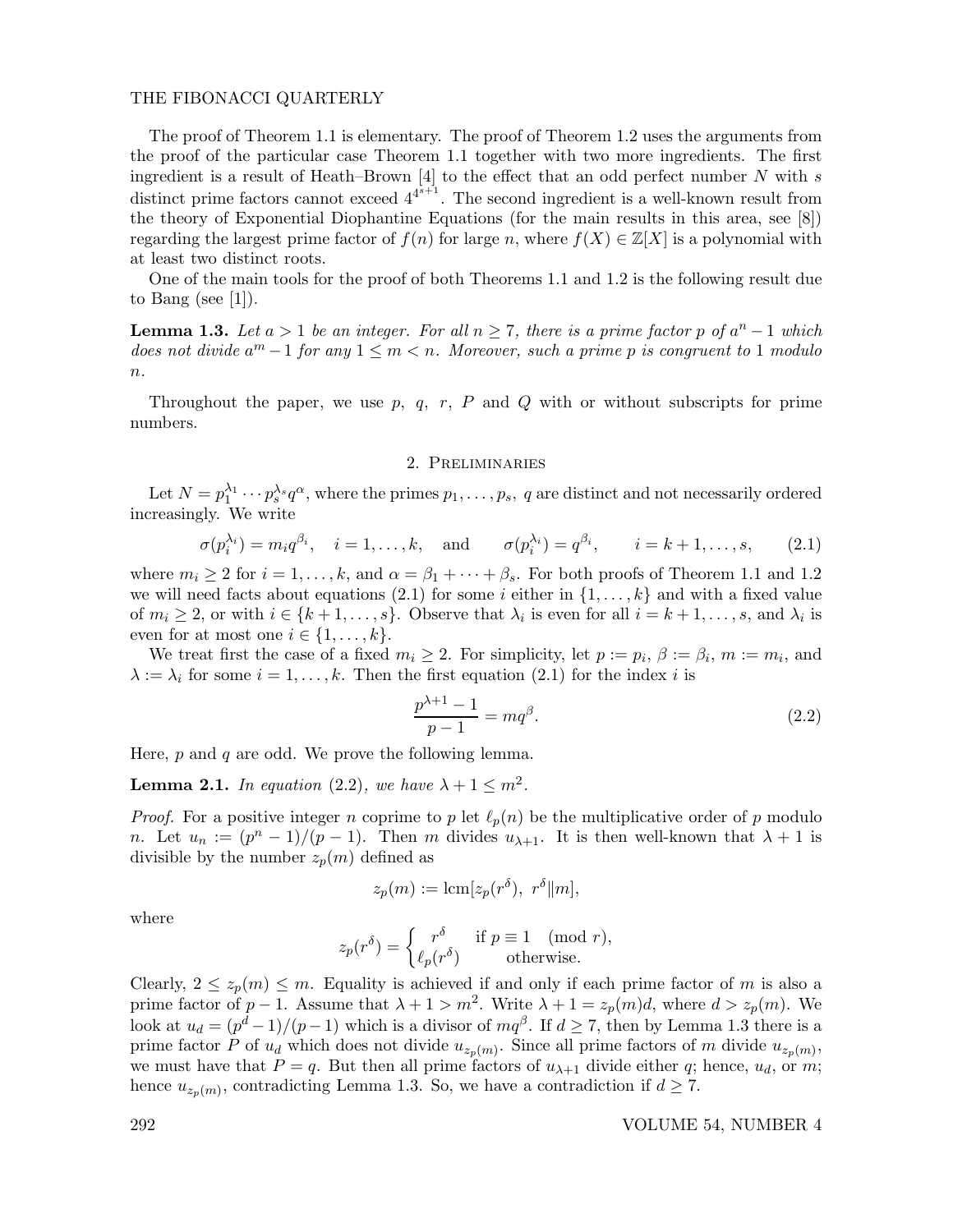## THE FIBONACCI QUARTERLY

The proof of Theorem 1.1 is elementary. The proof of Theorem 1.2 uses the arguments from the proof of the particular case Theorem 1.1 together with two more ingredients. The first ingredient is a result of Heath–Brown  $[4]$  to the effect that an odd perfect number N with s distinct prime factors cannot exceed  $4^{4^{s+1}}$ . The second ingredient is a well-known result from the theory of Exponential Diophantine Equations (for the main results in this area, see [8]) regarding the largest prime factor of  $f(n)$  for large n, where  $f(X) \in \mathbb{Z}[X]$  is a polynomial with at least two distinct roots.

One of the main tools for the proof of both Theorems 1.1 and 1.2 is the following result due to Bang (see [1]).

**Lemma 1.3.** Let  $a > 1$  be an integer. For all  $n \ge 7$ , there is a prime factor p of  $a^n - 1$  which does not divide  $a^m - 1$  for any  $1 \leq m < n$ . Moreover, such a prime p is congruent to 1 modulo  $n$ .

Throughout the paper, we use  $p, q, r, P$  and  $Q$  with or without subscripts for prime numbers.

#### 2. Preliminaries

Let  $N = p_1^{\lambda_1} \cdots p_s^{\lambda_s} q^{\alpha}$ , where the primes  $p_1, \ldots, p_s$ , q are distinct and not necessarily ordered increasingly. We write

$$
\sigma(p_i^{\lambda_i}) = m_i q^{\beta_i}, \quad i = 1, \dots, k, \quad \text{and} \quad \sigma(p_i^{\lambda_i}) = q^{\beta_i}, \quad i = k+1, \dots, s,
$$
 (2.1)

where  $m_i \geq 2$  for  $i = 1, ..., k$ , and  $\alpha = \beta_1 + \cdots + \beta_s$ . For both proofs of Theorem 1.1 and 1.2 we will need facts about equations (2.1) for some i either in  $\{1, \ldots, k\}$  and with a fixed value of  $m_i \geq 2$ , or with  $i \in \{k+1,\ldots,s\}$ . Observe that  $\lambda_i$  is even for all  $i = k+1,\ldots,s$ , and  $\lambda_i$  is even for at most one  $i \in \{1, \ldots, k\}.$ 

We treat first the case of a fixed  $m_i \geq 2$ . For simplicity, let  $p := p_i$ ,  $\beta := \beta_i$ ,  $m := m_i$ , and  $\lambda := \lambda_i$  for some  $i = 1, \ldots, k$ . Then the first equation (2.1) for the index i is

$$
\frac{p^{\lambda+1}-1}{p-1} = mq^{\beta}.
$$
\n(2.2)

Here,  $p$  and  $q$  are odd. We prove the following lemma.

**Lemma 2.1.** In equation (2.2), we have  $\lambda + 1 \le m^2$ .

*Proof.* For a positive integer n coprime to p let  $\ell_p(n)$  be the multiplicative order of p modulo *n*. Let  $u_n := (p^n - 1)/(p - 1)$ . Then *m* divides  $u_{\lambda+1}$ . It is then well-known that  $\lambda + 1$  is divisible by the number  $z_p(m)$  defined as

$$
z_p(m) := \text{lcm}[z_p(r^{\delta}), r^{\delta}||m],
$$

where

$$
z_p(r^{\delta}) = \begin{cases} r^{\delta} & \text{if } p \equiv 1 \pmod{r}, \\ \ell_p(r^{\delta}) & \text{otherwise.} \end{cases}
$$

Clearly,  $2 \le z_p(m) \le m$ . Equality is achieved if and only if each prime factor of m is also a prime factor of  $p-1$ . Assume that  $\lambda + 1 > m^2$ . Write  $\lambda + 1 = z_p(m)d$ , where  $d > z_p(m)$ . We look at  $u_d = (p^d - 1)/(p - 1)$  which is a divisor of  $mq^{\beta}$ . If  $d \ge 7$ , then by Lemma 1.3 there is a prime factor P of  $u_d$  which does not divide  $u_{z_p(m)}$ . Since all prime factors of m divide  $u_{z_p(m)}$ , we must have that  $P = q$ . But then all prime factors of  $u_{\lambda+1}$  divide either q; hence,  $u_d$ , or m; hence  $u_{z_p(m)}$ , contradicting Lemma 1.3. So, we have a contradiction if  $d \geq 7$ .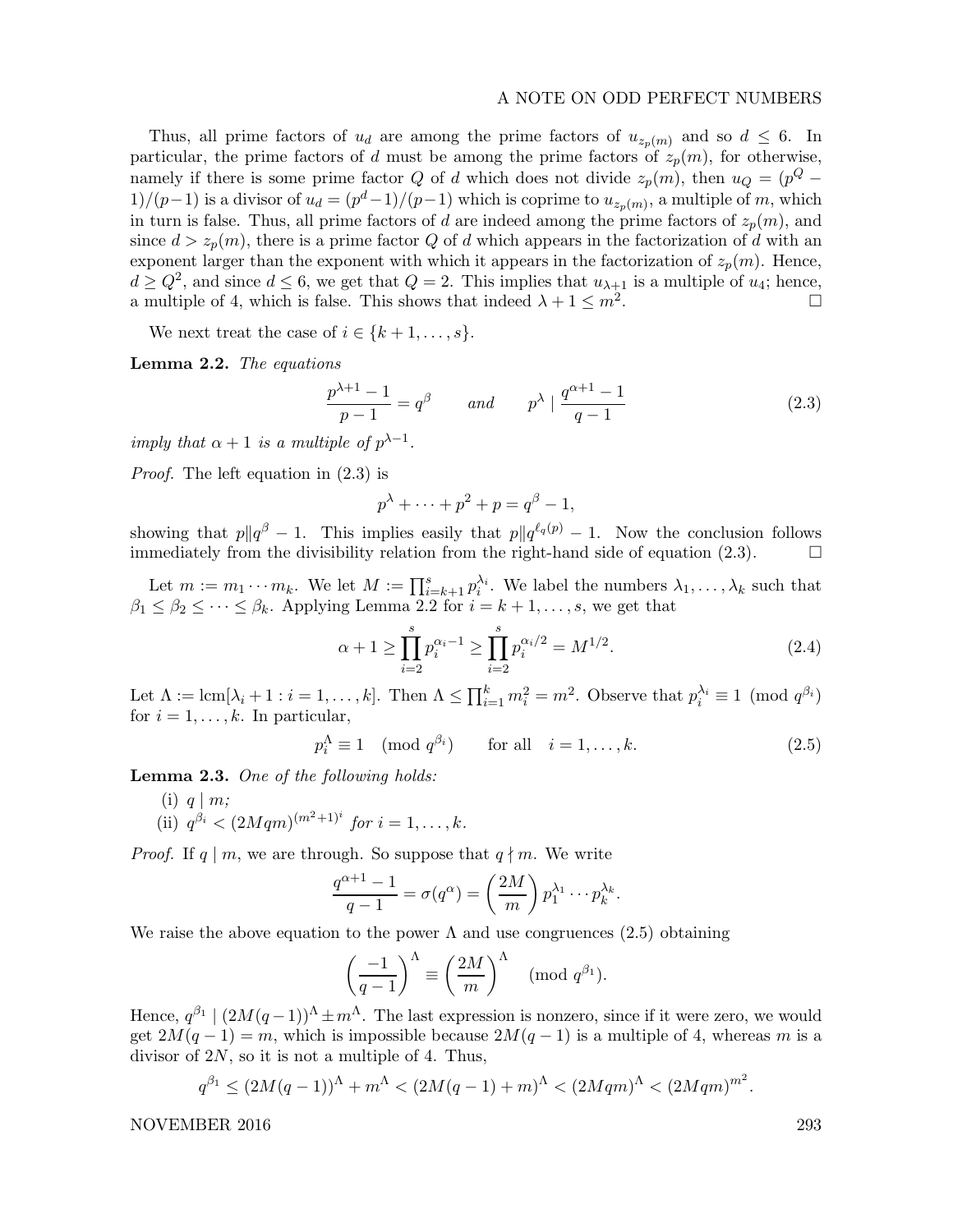#### A NOTE ON ODD PERFECT NUMBERS

Thus, all prime factors of  $u_d$  are among the prime factors of  $u_{z_n(m)}$  and so  $d \leq 6$ . In particular, the prime factors of d must be among the prime factors of  $z_p(m)$ , for otherwise, namely if there is some prime factor Q of d which does not divide  $z_p(m)$ , then  $u_Q = (p^Q 1)/(p-1)$  is a divisor of  $u_d = (p^d-1)/(p-1)$  which is coprime to  $u_{z_p(m)}$ , a multiple of m, which in turn is false. Thus, all prime factors of d are indeed among the prime factors of  $z_p(m)$ , and since  $d > z_p(m)$ , there is a prime factor Q of d which appears in the factorization of d with an exponent larger than the exponent with which it appears in the factorization of  $z_p(m)$ . Hence,  $d \geq Q^2$ , and since  $d \leq 6$ , we get that  $Q = 2$ . This implies that  $u_{\lambda+1}$  is a multiple of  $u_4$ ; hence, a multiple of 4, which is false. This shows that indeed  $\lambda + 1 \leq m^2$ . .

We next treat the case of  $i \in \{k+1,\ldots,s\}$ .

Lemma 2.2. The equations

$$
\frac{p^{\lambda+1}-1}{p-1} = q^{\beta} \qquad and \qquad p^{\lambda} \mid \frac{q^{\alpha+1}-1}{q-1}
$$
 (2.3)

imply that  $\alpha + 1$  is a multiple of  $p^{\lambda-1}$ .

Proof. The left equation in (2.3) is

$$
p^{\lambda} + \dots + p^2 + p = q^{\beta} - 1,
$$

showing that  $p||q^{\beta}-1$ . This implies easily that  $p||q^{\ell_q(p)}-1$ . Now the conclusion follows immediately from the divisibility relation from the right-hand side of equation (2.3).  $\Box$ 

Let  $m := m_1 \cdots m_k$ . We let  $M := \prod_{i=k+1}^s p_i^{\lambda_i}$ . We label the numbers  $\lambda_1, \ldots, \lambda_k$  such that  $\beta_1 \leq \beta_2 \leq \cdots \leq \beta_k$ . Applying Lemma 2.2 for  $i = k+1, \ldots, s$ , we get that

$$
\alpha + 1 \ge \prod_{i=2}^{s} p_i^{\alpha_i - 1} \ge \prod_{i=2}^{s} p_i^{\alpha_i/2} = M^{1/2}.
$$
 (2.4)

Let  $\Lambda := \text{lcm}[\lambda_i + 1 : i = 1, \ldots, k]$ . Then  $\Lambda \leq \prod_{i=1}^k m_i^2 = m^2$ . Observe that  $p_i^{\lambda_i} \equiv 1 \pmod{q^{\beta_i}}$ for  $i = 1, \ldots, k$ . In particular,

$$
p_i^{\Lambda} \equiv 1 \pmod{q^{\beta_i}} \qquad \text{for all} \quad i = 1, \dots, k. \tag{2.5}
$$

Lemma 2.3. One of the following holds:

(i)  $q \mid m$ ; (ii)  $q^{\beta_i} < (2Mqm)^{(m^2+1)^i}$  for  $i = 1, ..., k$ .

*Proof.* If  $q \mid m$ , we are through. So suppose that  $q \nmid m$ . We write

$$
\frac{q^{\alpha+1}-1}{q-1} = \sigma(q^{\alpha}) = \left(\frac{2M}{m}\right) p_1^{\lambda_1} \cdots p_k^{\lambda_k}.
$$

We raise the above equation to the power  $\Lambda$  and use congruences (2.5) obtaining

$$
\left(\frac{-1}{q-1}\right)^{\Lambda} \equiv \left(\frac{2M}{m}\right)^{\Lambda} \pmod{q^{\beta_1}}.
$$

Hence,  $q^{\beta_1} \mid (2M(q-1))^{\Lambda} \pm m^{\Lambda}$ . The last expression is nonzero, since if it were zero, we would get  $2M(q-1) = m$ , which is impossible because  $2M(q-1)$  is a multiple of 4, whereas m is a divisor of  $2N$ , so it is not a multiple of 4. Thus,

$$
q^{\beta_1} \le (2M(q-1))^{\Lambda} + m^{\Lambda} < (2M(q-1) + m)^{\Lambda} < (2Mqm)^{\Lambda} < (2Mqm)^{m^2}.
$$

NOVEMBER 2016 293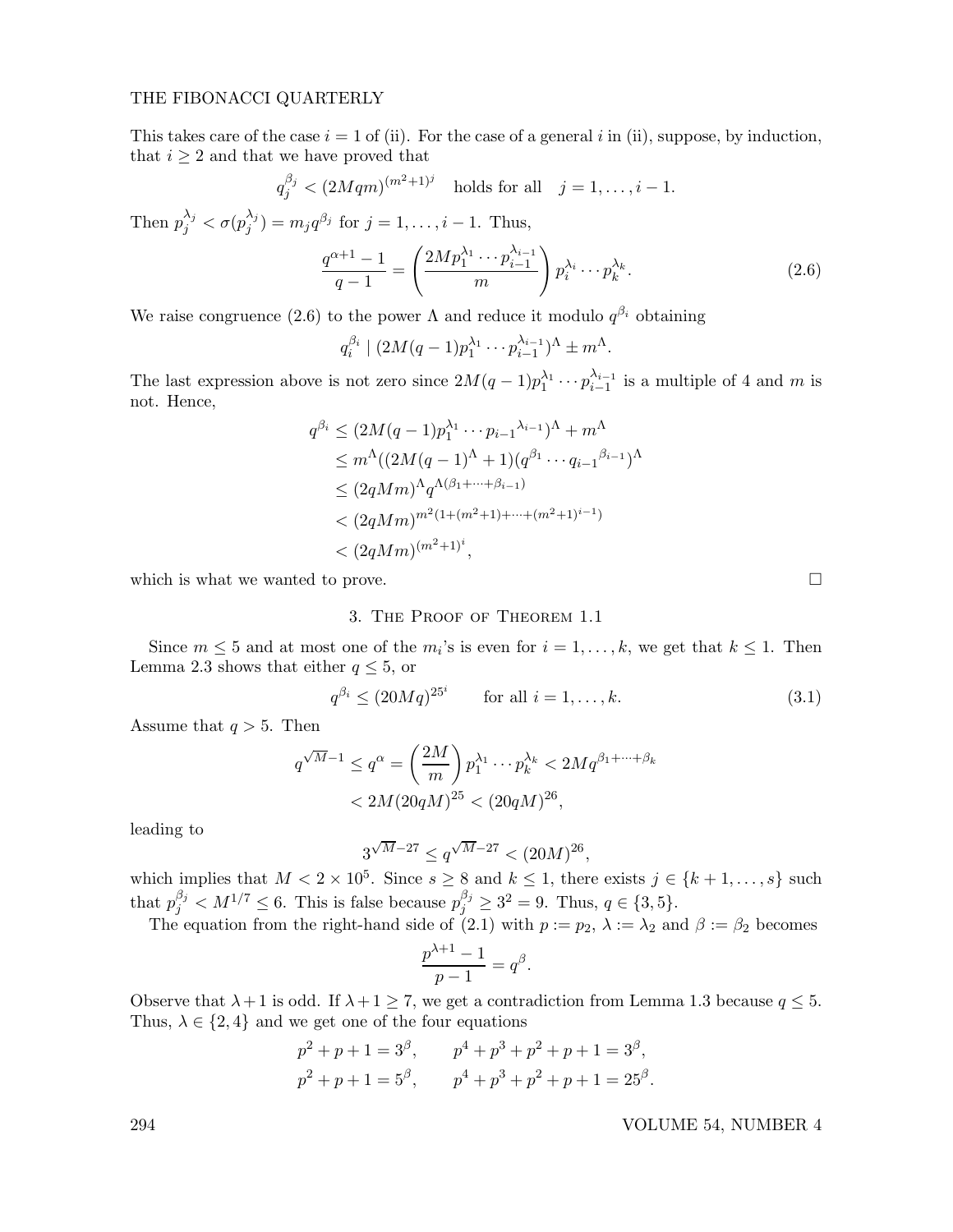## THE FIBONACCI QUARTERLY

This takes care of the case  $i = 1$  of (ii). For the case of a general i in (ii), suppose, by induction, that  $i \geq 2$  and that we have proved that

$$
q_j^{\beta_j} < (2Mqm)^{(m^2+1)^j}
$$
 holds for all  $j = 1, ..., i - 1$ .

Then  $p_j^{\lambda_j} < \sigma(p_j^{\lambda_j})$  $j^{(\lambda_j)}(j) = m_j q^{\beta_j}$  for  $j = 1, \ldots, i-1$ . Thus,

$$
\frac{q^{\alpha+1}-1}{q-1} = \left(\frac{2Mp_1^{\lambda_1} \cdots p_{i-1}^{\lambda_{i-1}}}{m}\right) p_i^{\lambda_i} \cdots p_k^{\lambda_k}.
$$
 (2.6)

We raise congruence (2.6) to the power  $\Lambda$  and reduce it modulo  $q^{\beta_i}$  obtaining

$$
q_i^{\beta_i} \mid (2M(q-1)p_1^{\lambda_1} \cdots p_{i-1}^{\lambda_{i-1}})^{\Lambda} \pm m^{\Lambda}.
$$

The last expression above is not zero since  $2M(q-1)p_1^{\lambda_1} \cdots p_{i-1}^{\lambda_{i-1}}$  $\lambda_{i-1}^{\lambda_{i-1}}$  is a multiple of 4 and m is not. Hence,

$$
q^{\beta_i} \le (2M(q-1)p_1^{\lambda_1} \cdots p_{i-1}^{\lambda_{i-1}})^{\Lambda} + m^{\Lambda}
$$
  
\n
$$
\le m^{\Lambda}((2M(q-1)^{\Lambda} + 1)(q^{\beta_1} \cdots q_{i-1}^{\beta_{i-1}})^{\Lambda}
$$
  
\n
$$
\le (2qMm)^{\Lambda} q^{\Lambda(\beta_1 + \cdots + \beta_{i-1})}
$$
  
\n
$$
< (2qMm)^{m^2(1 + (m^2 + 1) + \cdots + (m^2 + 1)^{i-1})}
$$
  
\n
$$
< (2qMm)^{(m^2 + 1)^i},
$$

which is what we wanted to prove.  $\Box$ 

# 3. The Proof of Theorem 1.1

Since  $m \leq 5$  and at most one of the  $m_i$ 's is even for  $i = 1, ..., k$ , we get that  $k \leq 1$ . Then Lemma 2.3 shows that either  $q \leq 5$ , or

$$
q^{\beta_i} \le (20Mq)^{25^i}
$$
 for all  $i = 1, ..., k$ . (3.1)

Assume that  $q > 5$ . Then

$$
q^{\sqrt{M}-1} \le q^{\alpha} = \left(\frac{2M}{m}\right) p_1^{\lambda_1} \cdots p_k^{\lambda_k} < 2M q^{\beta_1 + \cdots + \beta_k} < 2M (20qM)^{25} < (20qM)^{26},
$$

leading to

$$
3^{\sqrt{M}-27} \le q^{\sqrt{M}-27} < (20M)^{26},
$$

which implies that  $M < 2 \times 10^5$ . Since  $s \geq 8$  and  $k \leq 1$ , there exists  $j \in \{k+1,\ldots,s\}$  such that  $p_j^{\beta_j} < M^{1/7} \leq 6$ . This is false because  $p_j^{\beta_j} \geq 3^2 = 9$ . Thus,  $q \in \{3, 5\}$ .

The equation from the right-hand side of (2.1) with  $p := p_2, \lambda := \lambda_2$  and  $\beta := \beta_2$  becomes

$$
\frac{p^{\lambda+1}-1}{p-1}=q^{\beta}.
$$

Observe that  $\lambda + 1$  is odd. If  $\lambda + 1 \ge 7$ , we get a contradiction from Lemma 1.3 because  $q \le 5$ . Thus,  $\lambda \in \{2, 4\}$  and we get one of the four equations

$$
p^2 + p + 1 = 3^{\beta}
$$
,  $p^4 + p^3 + p^2 + p + 1 = 3^{\beta}$ ,  
\n $p^2 + p + 1 = 5^{\beta}$ ,  $p^4 + p^3 + p^2 + p + 1 = 25^{\beta}$ .

294 VOLUME 54, NUMBER 4